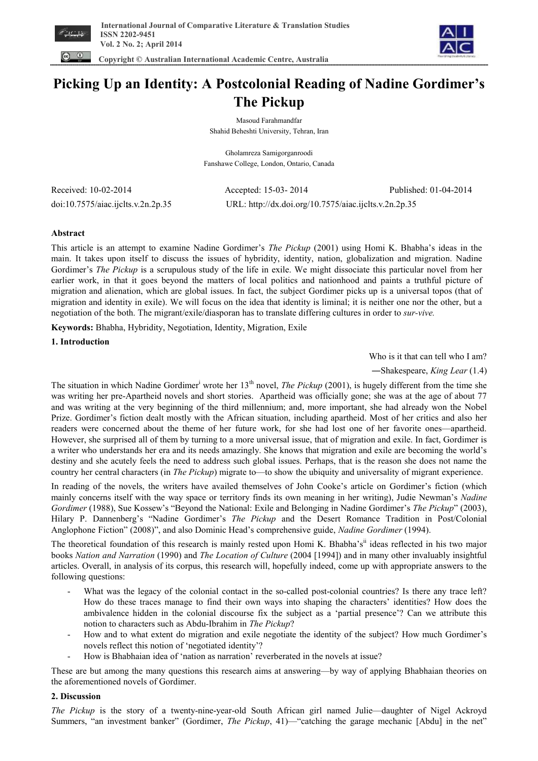



# **Picking Up an Identity: A Postcolonial Reading of Nadine Gordimer's The Pickup**

Masoud Farahmandfar Shahid Beheshti University, Tehran, Iran

Gholamreza Samigorganroodi Fanshawe College, London, Ontario, Canada

| Received: 10-02-2014               |  |
|------------------------------------|--|
| doi:10.7575/aiac.ijclts.v.2n.2p.35 |  |

Accepted: 15-03- 2014 Published: 01-04-2014 URL: http://dx.doi.org/10.7575/aiac.ijclts.v.2n.2p.35

# **Abstract**

This article is an attempt to examine Nadine Gordimer's *The Pickup* (2001) using Homi K. Bhabha's ideas in the main. It takes upon itself to discuss the issues of hybridity, identity, nation, globalization and migration. Nadine Gordimer's *The Pickup* is a scrupulous study of the life in exile. We might dissociate this particular novel from her earlier work, in that it goes beyond the matters of local politics and nationhood and paints a truthful picture of migration and alienation, which are global issues. In fact, the subject Gordimer picks up is a universal topos (that of migration and identity in exile). We will focus on the idea that identity is liminal; it is neither one nor the other, but a negotiation of the both. The migrant/exile/diasporan has to translate differing cultures in order to *sur-vive.* 

**Keywords:** Bhabha, Hybridity, Negotiation, Identity, Migration, Exile

**1. Introduction** 

Who is it that can tell who I am?

―Shakespeare, *King Lear* (1.4)

The situation in which Nadine Gordimer<sup>i</sup> wrote her 13<sup>th</sup> novel, *The Pickup* (2001), is hugely different from the time she was writing her pre-Apartheid novels and short stories. Apartheid was officially gone; she was at the age of about 77 and was writing at the very beginning of the third millennium; and, more important, she had already won the Nobel Prize. Gordimer's fiction dealt mostly with the African situation, including apartheid. Most of her critics and also her readers were concerned about the theme of her future work, for she had lost one of her favorite ones—apartheid. However, she surprised all of them by turning to a more universal issue, that of migration and exile. In fact, Gordimer is a writer who understands her era and its needs amazingly. She knows that migration and exile are becoming the world's destiny and she acutely feels the need to address such global issues. Perhaps, that is the reason she does not name the country her central characters (in *The Pickup*) migrate to—to show the ubiquity and universality of migrant experience.

In reading of the novels, the writers have availed themselves of John Cooke's article on Gordimer's fiction (which mainly concerns itself with the way space or territory finds its own meaning in her writing), Judie Newman's *Nadine Gordimer* (1988), Sue Kossew's "Beyond the National: Exile and Belonging in Nadine Gordimer's *The Pickup*" (2003), Hilary P. Dannenberg's "Nadine Gordimer's *The Pickup* and the Desert Romance Tradition in Post/Colonial Anglophone Fiction" (2008)", and also Dominic Head's comprehensive guide, *Nadine Gordimer* (1994).

The theoretical foundation of this research is mainly rested upon Homi K. Bhabha's<sup>ii</sup> ideas reflected in his two major books *Nation and Narration* (1990) and *The Location of Culture* (2004 [1994]) and in many other invaluably insightful articles. Overall, in analysis of its corpus, this research will, hopefully indeed, come up with appropriate answers to the following questions:

- What was the legacy of the colonial contact in the so-called post-colonial countries? Is there any trace left? How do these traces manage to find their own ways into shaping the characters' identities? How does the ambivalence hidden in the colonial discourse fix the subject as a 'partial presence'? Can we attribute this notion to characters such as Abdu-Ibrahim in *The Pickup*?
- How and to what extent do migration and exile negotiate the identity of the subject? How much Gordimer's novels reflect this notion of 'negotiated identity'?
- How is Bhabhaian idea of 'nation as narration' reverberated in the novels at issue?

These are but among the many questions this research aims at answering—by way of applying Bhabhaian theories on the aforementioned novels of Gordimer.

# **2. Discussion**

*The Pickup* is the story of a twenty-nine-year-old South African girl named Julie—daughter of Nigel Ackroyd Summers, "an investment banker" (Gordimer, *The Pickup*, 41)—"catching the garage mechanic [Abdu] in the net"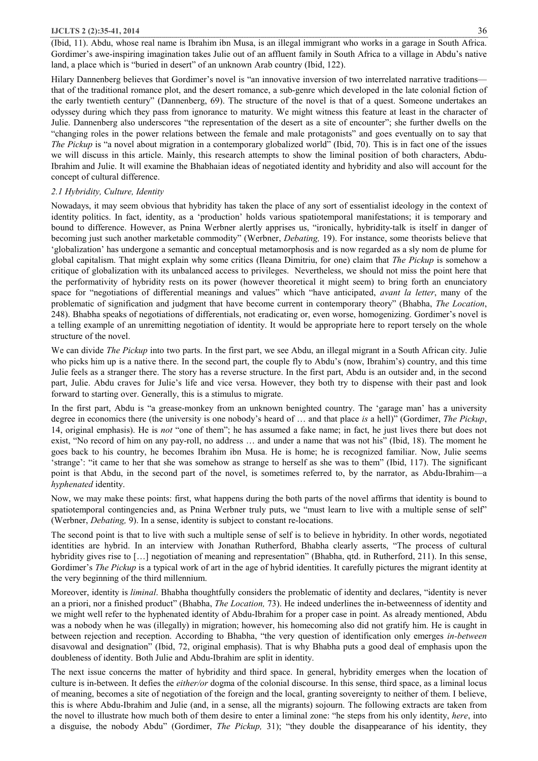#### **IJCLTS 2 (2):35-41, 2014** 36

(Ibid, 11). Abdu, whose real name is Ibrahim ibn Musa, is an illegal immigrant who works in a garage in South Africa. Gordimer's awe-inspiring imagination takes Julie out of an affluent family in South Africa to a village in Abdu's native land, a place which is "buried in desert" of an unknown Arab country (Ibid, 122).

Hilary Dannenberg believes that Gordimer's novel is "an innovative inversion of two interrelated narrative traditions that of the traditional romance plot, and the desert romance, a sub-genre which developed in the late colonial fiction of the early twentieth century" (Dannenberg, 69). The structure of the novel is that of a quest. Someone undertakes an odyssey during which they pass from ignorance to maturity. We might witness this feature at least in the character of Julie. Dannenberg also underscores "the representation of the desert as a site of encounter"; she further dwells on the "changing roles in the power relations between the female and male protagonists" and goes eventually on to say that *The Pickup* is "a novel about migration in a contemporary globalized world" (Ibid, 70). This is in fact one of the issues we will discuss in this article. Mainly, this research attempts to show the liminal position of both characters, Abdu-Ibrahim and Julie. It will examine the Bhabhaian ideas of negotiated identity and hybridity and also will account for the concept of cultural difference.

#### *2.1 Hybridity, Culture, Identity*

Nowadays, it may seem obvious that hybridity has taken the place of any sort of essentialist ideology in the context of identity politics. In fact, identity, as a 'production' holds various spatiotemporal manifestations; it is temporary and bound to difference. However, as Pnina Werbner alertly apprises us, "ironically, hybridity-talk is itself in danger of becoming just such another marketable commodity" (Werbner, *Debating,* 19). For instance, some theorists believe that 'globalization' has undergone a semantic and conceptual metamorphosis and is now regarded as a sly nom de plume for global capitalism. That might explain why some critics (Ileana Dimitriu, for one) claim that *The Pickup* is somehow a critique of globalization with its unbalanced access to privileges. Nevertheless, we should not miss the point here that the performativity of hybridity rests on its power (however theoretical it might seem) to bring forth an enunciatory space for "negotiations of differential meanings and values" which "have anticipated, *avant la letter*, many of the problematic of signification and judgment that have become current in contemporary theory" (Bhabha, *The Location*, 248). Bhabha speaks of negotiations of differentials, not eradicating or, even worse, homogenizing. Gordimer's novel is a telling example of an unremitting negotiation of identity. It would be appropriate here to report tersely on the whole structure of the novel.

We can divide *The Pickup* into two parts. In the first part, we see Abdu, an illegal migrant in a South African city. Julie who picks him up is a native there. In the second part, the couple fly to Abdu's (now, Ibrahim's) country, and this time Julie feels as a stranger there. The story has a reverse structure. In the first part, Abdu is an outsider and, in the second part, Julie. Abdu craves for Julie's life and vice versa. However, they both try to dispense with their past and look forward to starting over. Generally, this is a stimulus to migrate.

In the first part, Abdu is "a grease-monkey from an unknown benighted country. The 'garage man' has a university degree in economics there (the university is one nobody's heard of … and that place *is* a hell)" (Gordimer, *The Pickup*, 14, original emphasis). He is *not* "one of them"; he has assumed a fake name; in fact, he just lives there but does not exist, "No record of him on any pay-roll, no address … and under a name that was not his" (Ibid, 18). The moment he goes back to his country, he becomes Ibrahim ibn Musa. He is home; he is recognized familiar. Now, Julie seems 'strange': "it came to her that she was somehow as strange to herself as she was to them" (Ibid, 117). The significant point is that Abdu, in the second part of the novel, is sometimes referred to, by the narrator, as Abdu-Ibrahim—a *hyphenated* identity.

Now, we may make these points: first, what happens during the both parts of the novel affirms that identity is bound to spatiotemporal contingencies and, as Pnina Werbner truly puts, we "must learn to live with a multiple sense of self" (Werbner, *Debating,* 9). In a sense, identity is subject to constant re-locations.

The second point is that to live with such a multiple sense of self is to believe in hybridity. In other words, negotiated identities are hybrid. In an interview with Jonathan Rutherford, Bhabha clearly asserts, "The process of cultural hybridity gives rise to [...] negotiation of meaning and representation" (Bhabha, qtd. in Rutherford, 211). In this sense, Gordimer's *The Pickup* is a typical work of art in the age of hybrid identities. It carefully pictures the migrant identity at the very beginning of the third millennium.

Moreover, identity is *liminal*. Bhabha thoughtfully considers the problematic of identity and declares, "identity is never an a priori, nor a finished product" (Bhabha, *The Location,* 73). He indeed underlines the in-betweenness of identity and we might well refer to the hyphenated identity of Abdu-Ibrahim for a proper case in point. As already mentioned, Abdu was a nobody when he was (illegally) in migration; however, his homecoming also did not gratify him. He is caught in between rejection and reception. According to Bhabha, "the very question of identification only emerges *in-between* disavowal and designation" (Ibid, 72, original emphasis). That is why Bhabha puts a good deal of emphasis upon the doubleness of identity. Both Julie and Abdu-Ibrahim are split in identity.

The next issue concerns the matter of hybridity and third space. In general, hybridity emerges when the location of culture is in-between. It defies the *either/or* dogma of the colonial discourse. In this sense, third space, as a liminal locus of meaning, becomes a site of negotiation of the foreign and the local, granting sovereignty to neither of them. I believe, this is where Abdu-Ibrahim and Julie (and, in a sense, all the migrants) sojourn. The following extracts are taken from the novel to illustrate how much both of them desire to enter a liminal zone: "he steps from his only identity, *here*, into a disguise, the nobody Abdu" (Gordimer, *The Pickup,* 31); "they double the disappearance of his identity, they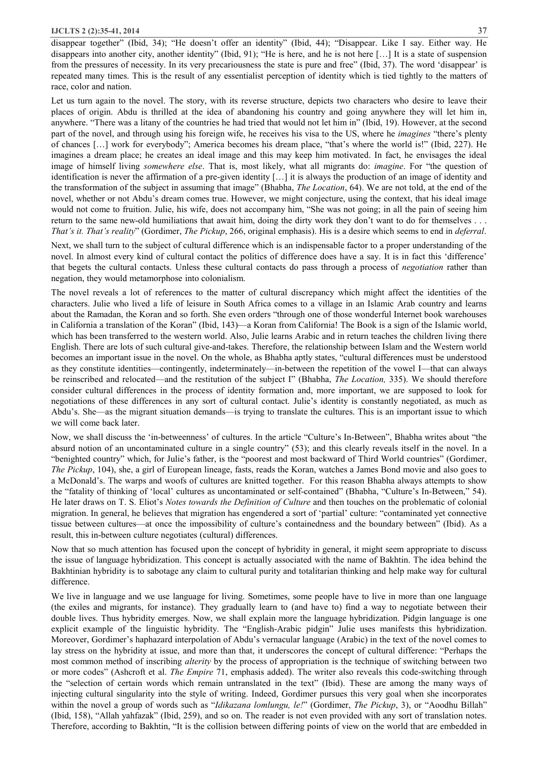disappear together" (Ibid, 34); "He doesn't offer an identity" (Ibid, 44); "Disappear. Like I say. Either way. He disappears into another city, another identity" (Ibid, 91); "He is here, and he is not here […] It is a state of suspension from the pressures of necessity. In its very precariousness the state is pure and free" (Ibid, 37). The word 'disappear' is repeated many times. This is the result of any essentialist perception of identity which is tied tightly to the matters of race, color and nation.

Let us turn again to the novel. The story, with its reverse structure, depicts two characters who desire to leave their places of origin. Abdu is thrilled at the idea of abandoning his country and going anywhere they will let him in, anywhere. "There was a litany of the countries he had tried that would not let him in" (Ibid, 19). However, at the second part of the novel, and through using his foreign wife, he receives his visa to the US, where he *imagines* "there's plenty of chances […] work for everybody"; America becomes his dream place, "that's where the world is!" (Ibid, 227). He imagines a dream place; he creates an ideal image and this may keep him motivated. In fact, he envisages the ideal image of himself living *somewhere else*. That is, most likely, what all migrants do: *imagine*. For "the question of identification is never the affirmation of a pre-given identity […] it is always the production of an image of identity and the transformation of the subject in assuming that image" (Bhabha, *The Location*, 64). We are not told, at the end of the novel, whether or not Abdu's dream comes true. However, we might conjecture, using the context, that his ideal image would not come to fruition. Julie, his wife, does not accompany him, "She was not going; in all the pain of seeing him return to the same new-old humiliations that await him, doing the dirty work they don't want to do for themselves . . . *That's it. That's reality*" (Gordimer, *The Pickup*, 266, original emphasis). His is a desire which seems to end in *deferral*.

Next, we shall turn to the subject of cultural difference which is an indispensable factor to a proper understanding of the novel. In almost every kind of cultural contact the politics of difference does have a say. It is in fact this 'difference' that begets the cultural contacts. Unless these cultural contacts do pass through a process of *negotiation* rather than negation, they would metamorphose into colonialism.

The novel reveals a lot of references to the matter of cultural discrepancy which might affect the identities of the characters. Julie who lived a life of leisure in South Africa comes to a village in an Islamic Arab country and learns about the Ramadan, the Koran and so forth. She even orders "through one of those wonderful Internet book warehouses in California a translation of the Koran" (Ibid, 143)—a Koran from California! The Book is a sign of the Islamic world, which has been transferred to the western world. Also, Julie learns Arabic and in return teaches the children living there English. There are lots of such cultural give-and-takes. Therefore, the relationship between Islam and the Western world becomes an important issue in the novel. On the whole, as Bhabha aptly states, "cultural differences must be understood as they constitute identities—contingently, indeterminately—in-between the repetition of the vowel I—that can always be reinscribed and relocated—and the restitution of the subject I" (Bhabha, *The Location,* 335). We should therefore consider cultural differences in the process of identity formation and, more important, we are supposed to look for negotiations of these differences in any sort of cultural contact. Julie's identity is constantly negotiated, as much as Abdu's. She—as the migrant situation demands—is trying to translate the cultures. This is an important issue to which we will come back later.

Now, we shall discuss the 'in-betweenness' of cultures. In the article "Culture's In-Between", Bhabha writes about "the absurd notion of an uncontaminated culture in a single country" (53); and this clearly reveals itself in the novel. In a "benighted country" which, for Julie's father, is the "poorest and most backward of Third World countries" (Gordimer, *The Pickup*, 104), she, a girl of European lineage, fasts, reads the Koran, watches a James Bond movie and also goes to a McDonald's. The warps and woofs of cultures are knitted together. For this reason Bhabha always attempts to show the "fatality of thinking of 'local' cultures as uncontaminated or self-contained" (Bhabha, "Culture's In-Between," 54). He later draws on T. S. Eliot's *Notes towards the Definition of Culture* and then touches on the problematic of colonial migration. In general, he believes that migration has engendered a sort of 'partial' culture: "contaminated yet connective tissue between cultures—at once the impossibility of culture's containedness and the boundary between" (Ibid). As a result, this in-between culture negotiates (cultural) differences.

Now that so much attention has focused upon the concept of hybridity in general, it might seem appropriate to discuss the issue of language hybridization. This concept is actually associated with the name of Bakhtin. The idea behind the Bakhtinian hybridity is to sabotage any claim to cultural purity and totalitarian thinking and help make way for cultural difference.

We live in language and we use language for living. Sometimes, some people have to live in more than one language (the exiles and migrants, for instance). They gradually learn to (and have to) find a way to negotiate between their double lives. Thus hybridity emerges. Now, we shall explain more the language hybridization. Pidgin language is one explicit example of the linguistic hybridity. The "English-Arabic pidgin" Julie uses manifests this hybridization. Moreover, Gordimer's haphazard interpolation of Abdu's vernacular language (Arabic) in the text of the novel comes to lay stress on the hybridity at issue, and more than that, it underscores the concept of cultural difference: "Perhaps the most common method of inscribing *alterity* by the process of appropriation is the technique of switching between two or more codes" (Ashcroft et al. *The Empire* 71, emphasis added). The writer also reveals this code-switching through the "selection of certain words which remain untranslated in the text" (Ibid). These are among the many ways of injecting cultural singularity into the style of writing. Indeed, Gordimer pursues this very goal when she incorporates within the novel a group of words such as "*Idikazana lomlungu, le!*" (Gordimer, *The Pickup*, 3), or "Aoodhu Billah" (Ibid, 158), "Allah yahfazak" (Ibid, 259), and so on. The reader is not even provided with any sort of translation notes. Therefore, according to Bakhtin, "It is the collision between differing points of view on the world that are embedded in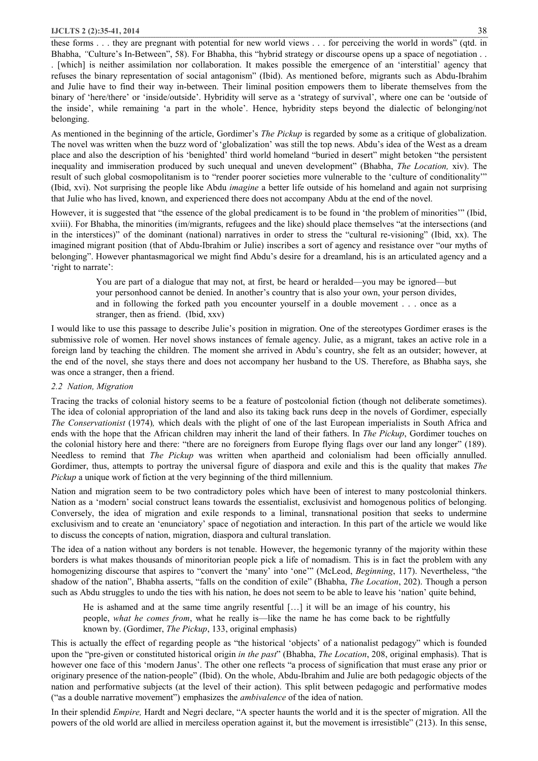these forms . . . they are pregnant with potential for new world views . . . for perceiving the world in words" (qtd. in Bhabha, "Culture's In-Between", 58). For Bhabha, this "hybrid strategy or discourse opens up a space of negotiation . . . [which] is neither assimilation nor collaboration. It makes possible the emergence of an 'interstitial' agency that refuses the binary representation of social antagonism" (Ibid). As mentioned before, migrants such as Abdu-Ibrahim and Julie have to find their way in-between. Their liminal position empowers them to liberate themselves from the binary of 'here/there' or 'inside/outside'. Hybridity will serve as a 'strategy of survival', where one can be 'outside of the inside', while remaining 'a part in the whole'. Hence, hybridity steps beyond the dialectic of belonging/not belonging.

As mentioned in the beginning of the article, Gordimer's *The Pickup* is regarded by some as a critique of globalization. The novel was written when the buzz word of 'globalization' was still the top news. Abdu's idea of the West as a dream place and also the description of his 'benighted' third world homeland "buried in desert" might betoken "the persistent inequality and immiseration produced by such unequal and uneven development" (Bhabha, *The Location,* xiv). The result of such global cosmopolitanism is to "render poorer societies more vulnerable to the 'culture of conditionality'" (Ibid, xvi). Not surprising the people like Abdu *imagine* a better life outside of his homeland and again not surprising that Julie who has lived, known, and experienced there does not accompany Abdu at the end of the novel.

However, it is suggested that "the essence of the global predicament is to be found in 'the problem of minorities'" (Ibid, xviii). For Bhabha, the minorities (im/migrants, refugees and the like) should place themselves "at the intersections (and in the interstices)" of the dominant (national) narratives in order to stress the "cultural re-visioning" (Ibid, xx). The imagined migrant position (that of Abdu-Ibrahim or Julie) inscribes a sort of agency and resistance over "our myths of belonging". However phantasmagorical we might find Abdu's desire for a dreamland, his is an articulated agency and a 'right to narrate':

You are part of a dialogue that may not, at first, be heard or heralded—you may be ignored—but your personhood cannot be denied. In another's country that is also your own, your person divides, and in following the forked path you encounter yourself in a double movement . . . once as a stranger, then as friend. (Ibid, xxv)

I would like to use this passage to describe Julie's position in migration. One of the stereotypes Gordimer erases is the submissive role of women. Her novel shows instances of female agency. Julie, as a migrant, takes an active role in a foreign land by teaching the children. The moment she arrived in Abdu's country, she felt as an outsider; however, at the end of the novel, she stays there and does not accompany her husband to the US. Therefore, as Bhabha says, she was once a stranger, then a friend.

## *2.2 Nation, Migration*

Tracing the tracks of colonial history seems to be a feature of postcolonial fiction (though not deliberate sometimes). The idea of colonial appropriation of the land and also its taking back runs deep in the novels of Gordimer, especially *The Conservationist* (1974), which deals with the plight of one of the last European imperialists in South Africa and ends with the hope that the African children may inherit the land of their fathers. In *The Pickup*, Gordimer touches on the colonial history here and there: "there are no foreigners from Europe flying flags over our land any longer" (189). Needless to remind that *The Pickup* was written when apartheid and colonialism had been officially annulled. Gordimer, thus, attempts to portray the universal figure of diaspora and exile and this is the quality that makes *The Pickup* a unique work of fiction at the very beginning of the third millennium.

Nation and migration seem to be two contradictory poles which have been of interest to many postcolonial thinkers. Nation as a 'modern' social construct leans towards the essentialist, exclusivist and homogenous politics of belonging. Conversely, the idea of migration and exile responds to a liminal, transnational position that seeks to undermine exclusivism and to create an 'enunciatory' space of negotiation and interaction. In this part of the article we would like to discuss the concepts of nation, migration, diaspora and cultural translation.

The idea of a nation without any borders is not tenable. However, the hegemonic tyranny of the majority within these borders is what makes thousands of minoritorian people pick a life of nomadism. This is in fact the problem with any homogenizing discourse that aspires to "convert the 'many' into 'one'" (McLeod, *Beginning*, 117). Nevertheless, "the shadow of the nation", Bhabha asserts, "falls on the condition of exile" (Bhabha, *The Location*, 202). Though a person such as Abdu struggles to undo the ties with his nation, he does not seem to be able to leave his 'nation' quite behind,

He is ashamed and at the same time angrily resentful […] it will be an image of his country, his people, *what he comes from*, what he really is—like the name he has come back to be rightfully known by. (Gordimer, *The Pickup*, 133, original emphasis)

This is actually the effect of regarding people as "the historical 'objects' of a nationalist pedagogy" which is founded upon the "pre-given or constituted historical origin *in the past*" (Bhabha, *The Location*, 208, original emphasis). That is however one face of this 'modern Janus'. The other one reflects "a process of signification that must erase any prior or originary presence of the nation-people" (Ibid). On the whole, Abdu-Ibrahim and Julie are both pedagogic objects of the nation and performative subjects (at the level of their action). This split between pedagogic and performative modes ("as a double narrative movement") emphasizes the *ambivalence* of the idea of nation.

In their splendid *Empire,* Hardt and Negri declare, "A specter haunts the world and it is the specter of migration. All the powers of the old world are allied in merciless operation against it, but the movement is irresistible" (213). In this sense,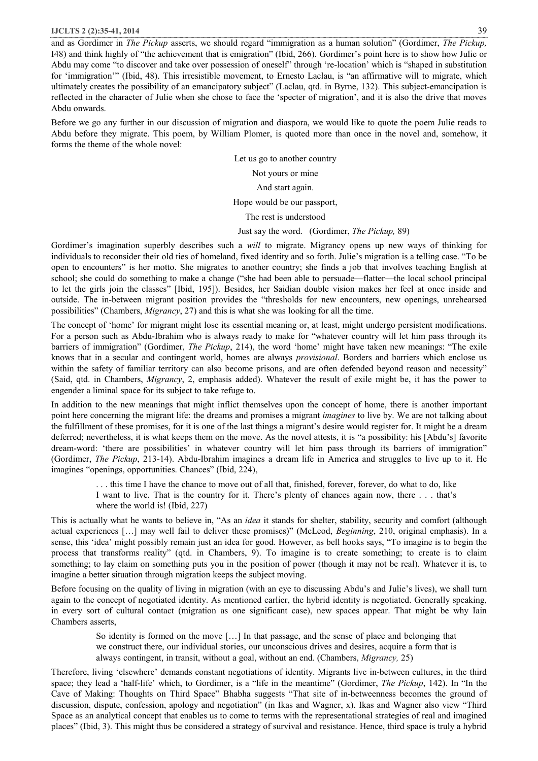#### **IJCLTS 2 (2):35-41, 2014** 39

and as Gordimer in *The Pickup* asserts, we should regard "immigration as a human solution" (Gordimer, *The Pickup,*  I48) and think highly of "the achievement that is emigration" (Ibid, 266). Gordimer's point here is to show how Julie or Abdu may come "to discover and take over possession of oneself" through 're-location' which is "shaped in substitution for 'immigration'" (Ibid, 48). This irresistible movement, to Ernesto Laclau, is "an affirmative will to migrate, which ultimately creates the possibility of an emancipatory subject" (Laclau, qtd. in Byrne, 132). This subject-emancipation is reflected in the character of Julie when she chose to face the 'specter of migration', and it is also the drive that moves Abdu onwards.

Before we go any further in our discussion of migration and diaspora, we would like to quote the poem Julie reads to Abdu before they migrate. This poem, by William Plomer, is quoted more than once in the novel and, somehow, it forms the theme of the whole novel:

Let us go to another country

Not yours or mine

And start again.

Hope would be our passport,

The rest is understood

Just say the word. (Gordimer, *The Pickup,* 89)

Gordimer's imagination superbly describes such a *will* to migrate. Migrancy opens up new ways of thinking for individuals to reconsider their old ties of homeland, fixed identity and so forth. Julie's migration is a telling case. "To be open to encounters" is her motto. She migrates to another country; she finds a job that involves teaching English at school; she could do something to make a change ("she had been able to persuade—flatter—the local school principal to let the girls join the classes" [Ibid, 195]). Besides, her Saidian double vision makes her feel at once inside and outside. The in-between migrant position provides the "thresholds for new encounters, new openings, unrehearsed possibilities" (Chambers, *Migrancy*, 27) and this is what she was looking for all the time.

The concept of 'home' for migrant might lose its essential meaning or, at least, might undergo persistent modifications. For a person such as Abdu-Ibrahim who is always ready to make for "whatever country will let him pass through its barriers of immigration" (Gordimer, *The Pickup*, 214), the word 'home' might have taken new meanings: "The exile knows that in a secular and contingent world, homes are always *provisional*. Borders and barriers which enclose us within the safety of familiar territory can also become prisons, and are often defended beyond reason and necessity" (Said, qtd. in Chambers, *Migrancy*, 2, emphasis added). Whatever the result of exile might be, it has the power to engender a liminal space for its subject to take refuge to.

In addition to the new meanings that might inflict themselves upon the concept of home, there is another important point here concerning the migrant life: the dreams and promises a migrant *imagines* to live by. We are not talking about the fulfillment of these promises, for it is one of the last things a migrant's desire would register for. It might be a dream deferred; nevertheless, it is what keeps them on the move. As the novel attests, it is "a possibility: his [Abdu's] favorite dream-word: 'there are possibilities' in whatever country will let him pass through its barriers of immigration" (Gordimer, *The Pickup*, 213-14). Abdu-Ibrahim imagines a dream life in America and struggles to live up to it. He imagines "openings, opportunities. Chances" (Ibid, 224),

> . . . this time I have the chance to move out of all that, finished, forever, forever, do what to do, like I want to live. That is the country for it. There's plenty of chances again now, there . . . that's where the world is! (Ibid, 227)

This is actually what he wants to believe in, "As an *idea* it stands for shelter, stability, security and comfort (although actual experiences […] may well fail to deliver these promises)" (McLeod, *Beginning*, 210, original emphasis). In a sense, this 'idea' might possibly remain just an idea for good. However, as bell hooks says, "To imagine is to begin the process that transforms reality" (qtd. in Chambers, 9). To imagine is to create something; to create is to claim something; to lay claim on something puts you in the position of power (though it may not be real). Whatever it is, to imagine a better situation through migration keeps the subject moving.

Before focusing on the quality of living in migration (with an eye to discussing Abdu's and Julie's lives), we shall turn again to the concept of negotiated identity. As mentioned earlier, the hybrid identity is negotiated. Generally speaking, in every sort of cultural contact (migration as one significant case), new spaces appear. That might be why Iain Chambers asserts,

> So identity is formed on the move […] In that passage, and the sense of place and belonging that we construct there, our individual stories, our unconscious drives and desires, acquire a form that is always contingent, in transit, without a goal, without an end. (Chambers, *Migrancy,* 25)

Therefore, living 'elsewhere' demands constant negotiations of identity. Migrants live in-between cultures, in the third space; they lead a 'half-life' which, to Gordimer, is a "life in the meantime" (Gordimer, *The Pickup*, 142). In "In the Cave of Making: Thoughts on Third Space" Bhabha suggests "That site of in-betweenness becomes the ground of discussion, dispute, confession, apology and negotiation" (in Ikas and Wagner, x). Ikas and Wagner also view "Third Space as an analytical concept that enables us to come to terms with the representational strategies of real and imagined places" (Ibid, 3). This might thus be considered a strategy of survival and resistance. Hence, third space is truly a hybrid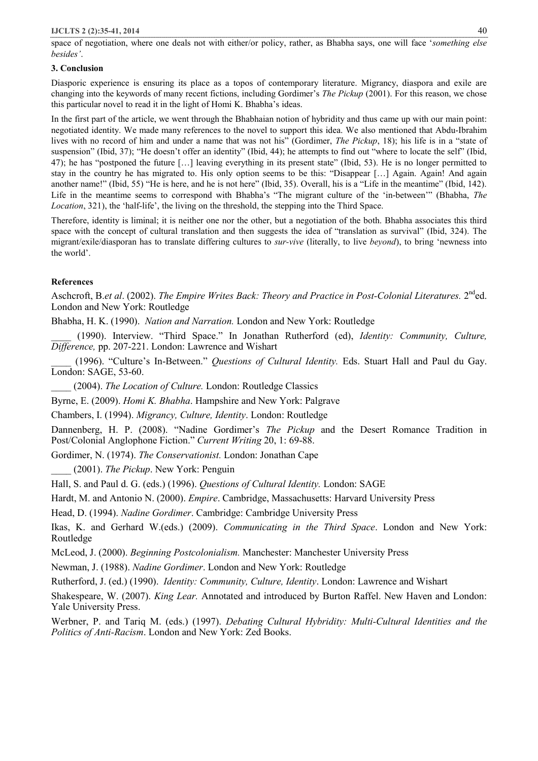space of negotiation, where one deals not with either/or policy, rather, as Bhabha says, one will face '*something else besides'*.

### **3. Conclusion**

Diasporic experience is ensuring its place as a topos of contemporary literature. Migrancy, diaspora and exile are changing into the keywords of many recent fictions, including Gordimer's *The Pickup* (2001). For this reason, we chose this particular novel to read it in the light of Homi K. Bhabha's ideas.

In the first part of the article, we went through the Bhabhaian notion of hybridity and thus came up with our main point: negotiated identity. We made many references to the novel to support this idea. We also mentioned that Abdu-Ibrahim lives with no record of him and under a name that was not his" (Gordimer, *The Pickup*, 18); his life is in a "state of suspension" (Ibid, 37); "He doesn't offer an identity" (Ibid, 44); he attempts to find out "where to locate the self" (Ibid, 47); he has "postponed the future […] leaving everything in its present state" (Ibid, 53). He is no longer permitted to stay in the country he has migrated to. His only option seems to be this: "Disappear […] Again. Again! And again another name!" (Ibid, 55) "He is here, and he is not here" (Ibid, 35). Overall, his is a "Life in the meantime" (Ibid, 142). Life in the meantime seems to correspond with Bhabha's "The migrant culture of the 'in-between'" (Bhabha, *The Location*, 321), the 'half-life', the living on the threshold, the stepping into the Third Space.

Therefore, identity is liminal; it is neither one nor the other, but a negotiation of the both. Bhabha associates this third space with the concept of cultural translation and then suggests the idea of "translation as survival" (Ibid, 324). The migrant/exile/diasporan has to translate differing cultures to *sur-vive* (literally, to live *beyond*), to bring 'newness into the world'.

## **References**

Aschcroft, B.*et al*. (2002). *The Empire Writes Back: Theory and Practice in Post-Colonial Literatures.* 2nded. London and New York: Routledge

Bhabha, H. K. (1990). *Nation and Narration.* London and New York: Routledge

\_\_\_\_ (1990). Interview. "Third Space." In Jonathan Rutherford (ed), *Identity: Community, Culture, Difference,* pp. 207-221. London: Lawrence and Wishart

\_\_\_\_ (1996). "Culture's In-Between." *Questions of Cultural Identity.* Eds. Stuart Hall and Paul du Gay. London: SAGE, 53-60.

\_\_\_\_ (2004). *The Location of Culture.* London: Routledge Classics

Byrne, E. (2009). *Homi K. Bhabha*. Hampshire and New York: Palgrave

Chambers, I. (1994). *Migrancy, Culture, Identity*. London: Routledge

Dannenberg, H. P. (2008). "Nadine Gordimer's *The Pickup* and the Desert Romance Tradition in Post/Colonial Anglophone Fiction." *Current Writing* 20, 1: 69-88.

Gordimer, N. (1974). *The Conservationist.* London: Jonathan Cape

\_\_\_\_ (2001). *The Pickup*. New York: Penguin

Hall, S. and Paul d. G. (eds.) (1996). *Questions of Cultural Identity.* London: SAGE

Hardt, M. and Antonio N. (2000). *Empire*. Cambridge, Massachusetts: Harvard University Press

Head, D. (1994). *Nadine Gordimer*. Cambridge: Cambridge University Press

Ikas, K. and Gerhard W.(eds.) (2009). *Communicating in the Third Space*. London and New York: Routledge

McLeod, J. (2000). *Beginning Postcolonialism.* Manchester: Manchester University Press

Newman, J. (1988). *Nadine Gordimer*. London and New York: Routledge

Rutherford, J. (ed.) (1990). *Identity: Community, Culture, Identity*. London: Lawrence and Wishart

Shakespeare, W. (2007). *King Lear.* Annotated and introduced by Burton Raffel. New Haven and London: Yale University Press.

Werbner, P. and Tariq M. (eds.) (1997). *Debating Cultural Hybridity: Multi-Cultural Identities and the Politics of Anti-Racism*. London and New York: Zed Books.